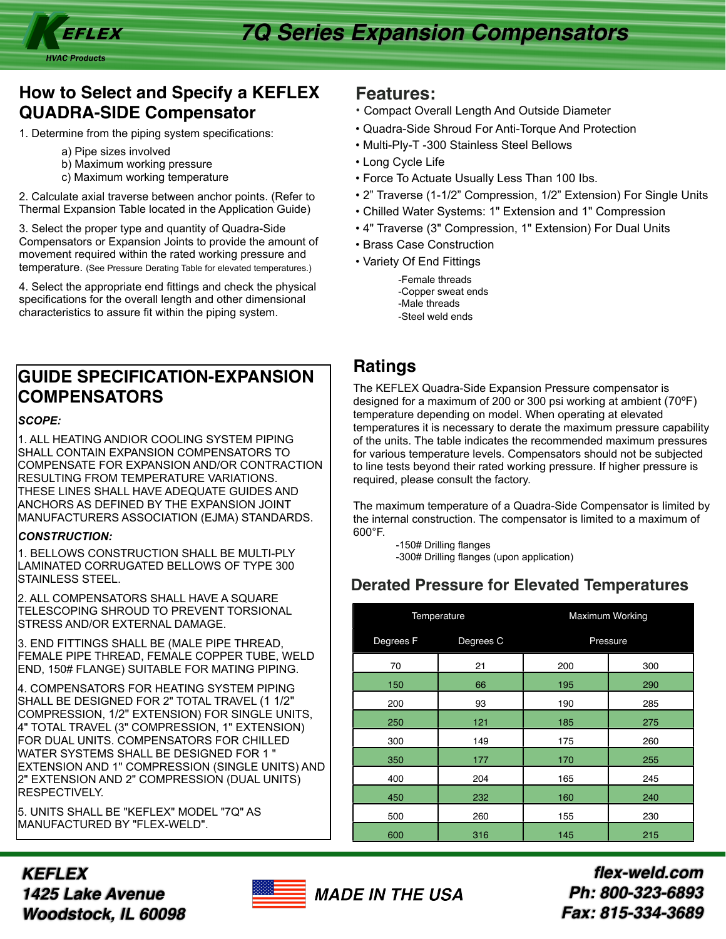

## **How to Select and Specify a KEFLEX QUADRA-SIDE Compensator**

1. Determine from the piping system specifications:

- a) Pipe sizes involved
- b) Maximum working pressure
- c) Maximum working temperature

2. Calculate axial traverse between anchor points. (Refer to Thermal Expansion Table located in the Application Guide)

3. Select the proper type and quantity of Quadra-Side Compensators or Expansion Joints to provide the amount of movement required within the rated working pressure and temperature. (See Pressure Derating Table for elevated temperatures.)

4. Select the appropriate end fittings and check the physical specifications for the overall length and other dimensional characteristics to assure fit within the piping system.

# **GUIDE SPECIFICATION-EXPANSION COMPENSATORS**

### *SCOPE:*

1. ALL HEATING ANDIOR COOLING SYSTEM PIPING SHALL CONTAIN EXPANSION COMPENSATORS TO COMPENSATE FOR EXPANSION AND/OR CONTRACTION RESULTING FROM TEMPERATURE VARIATIONS. THESE LINES SHALL HAVE ADEQUATE GUIDES AND ANCHORS AS DEFINED BY THE EXPANSION JOINT MANUFACTURERS ASSOCIATION (EJMA) STANDARDS.

### *CONSTRUCTION:*

1. BELLOWS CONSTRUCTION SHALL BE MULTI-PLY LAMINATED CORRUGATED BELLOWS OF TYPE 300 STAINLESS STEEL.

2. ALL COMPENSATORS SHALL HAVE A SQUARE TELESCOPING SHROUD TO PREVENT TORSIONAL STRESS AND/OR EXTERNAL DAMAGE.

3. END FITTINGS SHALL BE (MALE PIPE THREAD, FEMALE PIPE THREAD, FEMALE COPPER TUBE, WELD END, 150# FLANGE) SUITABLE FOR MATING PIPING.

4. COMPENSATORS FOR HEATING SYSTEM PIPING SHALL BE DESIGNED FOR 2" TOTAL TRAVEL (1 1/2" COMPRESSION, 1/2" EXTENSION) FOR SINGLE UNITS, 4" TOTAL TRAVEL (3" COMPRESSION, 1" EXTENSION) FOR DUAL UNITS. COMPENSATORS FOR CHILLED WATER SYSTEMS SHALL BE DESIGNED FOR 1 " EXTENSION AND 1" COMPRESSION (SINGLE UNITS) AND 2" EXTENSION AND 2" COMPRESSION (DUAL UNITS) RESPECTIVELY.

5. UNITS SHALL BE "KEFLEX" MODEL "7Q" AS MANUFACTURED BY "FLEX-WELD".

### **Features:**

- Compact Overall Length And Outside Diameter
- Quadra-Side Shroud For Anti-Torque And Protection
- Multi-Ply-T -300 Stainless Steel Bellows
- Long Cycle Life
- Force To Actuate Usually Less Than 100 Ibs.
- 2" Traverse (1-1/2" Compression, 1/2" Extension) For Single Units
- Chilled Water Systems: 1" Extension and 1" Compression
- 4" Traverse (3" Compression, 1" Extension) For Dual Units
- Brass Case Construction
- Variety Of End Fittings
	- -Female threads -Copper sweat ends -Male threads -Steel weld ends

### **Ratings**

The KEFLEX Quadra-Side Expansion Pressure compensator is designed for a maximum of 200 or 300 psi working at ambient (70ºF) temperature depending on model. When operating at elevated temperatures it is necessary to derate the maximum pressure capability of the units. The table indicates the recommended maximum pressures for various temperature levels. Compensators should not be subjected to line tests beyond their rated working pressure. If higher pressure is required, please consult the factory.

The maximum temperature of a Quadra-Side Compensator is limited by the internal construction. The compensator is limited to a maximum of 600°F.

> -150# Drilling flanges -300# Drilling flanges (upon application)

## **Derated Pressure for Elevated Temperatures**

|                      | Temperature | Maximum Working |     |  |  |
|----------------------|-------------|-----------------|-----|--|--|
| Degrees <sub>F</sub> | Degrees C   | Pressure        |     |  |  |
| 70                   | 21          | 200             | 300 |  |  |
| 150                  | 66          | 195             | 290 |  |  |
| 200                  | 93          | 190             | 285 |  |  |
| 250                  | 121         | 185             | 275 |  |  |
| 300                  | 149         | 175             | 260 |  |  |
| 350                  | 177         | 170             | 255 |  |  |
| 400                  | 204         | 165             | 245 |  |  |
| 450                  | 232         | 160             | 240 |  |  |
| 500                  | 260         | 155             | 230 |  |  |
| 600                  | 316         | 145             | 215 |  |  |

*KEFLEX 1425 Lake Avenue Woodstock, IL 60098*



*flex-weld.com Ph: 800-323-6893 Fax: 815-334-3689*